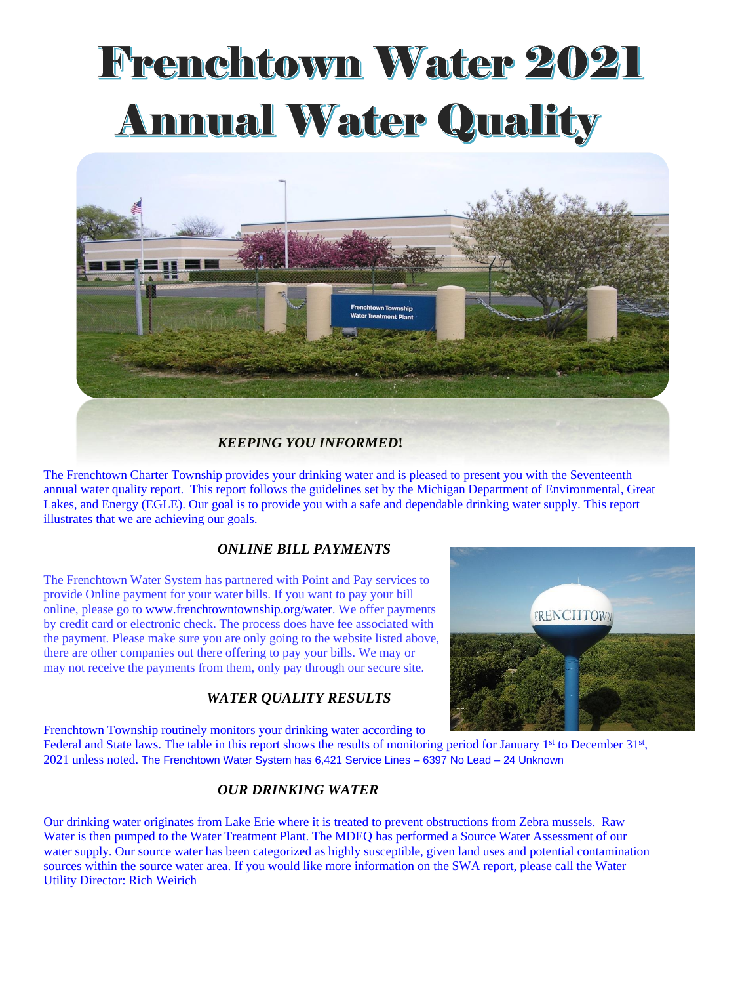# **Frenchtown Water 2021 Annual Water Quality**



The Frenchtown Charter Township provides your drinking water and is pleased to present you with the Seventeenth annual water quality report. This report follows the guidelines set by the Michigan Department of Environmental, Great Lakes, and Energy (EGLE). Our goal is to provide you with a safe and dependable drinking water supply. This report illustrates that we are achieving our goals.

#### *ONLINE BILL PAYMENTS*

The Frenchtown Water System has partnered with Point and Pay services to provide Online payment for your water bills. If you want to pay your bill online, please go to [www.frenchtowntownship.org/water.](http://www.frenchtowntownship.org/water) We offer payments by credit card or electronic check. The process does have fee associated with the payment. Please make sure you are only going to the website listed above, there are other companies out there offering to pay your bills. We may or may not receive the payments from them, only pay through our secure site.

### *WATER QUALITY RESULTS*



Frenchtown Township routinely monitors your drinking water according to

Federal and State laws. The table in this report shows the results of monitoring period for January 1<sup>st</sup> to December 31<sup>st</sup>, 2021 unless noted. The Frenchtown Water System has 6,421 Service Lines – 6397 No Lead – 24 Unknown

#### *OUR DRINKING WATER*

Our drinking water originates from Lake Erie where it is treated to prevent obstructions from Zebra mussels. Raw Water is then pumped to the Water Treatment Plant. The MDEQ has performed a Source Water Assessment of our water supply. Our source water has been categorized as highly susceptible, given land uses and potential contamination sources within the source water area. If you would like more information on the SWA report, please call the Water Utility Director: Rich Weirich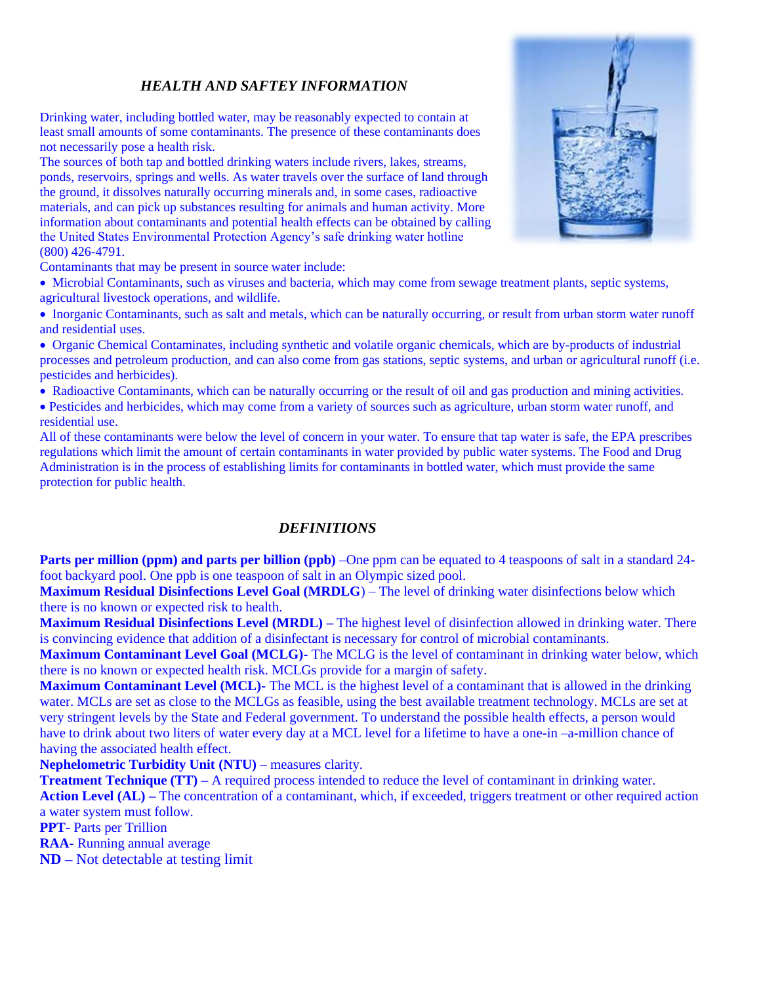#### *HEALTH AND SAFTEY INFORMATION*

Drinking water, including bottled water, may be reasonably expected to contain at least small amounts of some contaminants. The presence of these contaminants does not necessarily pose a health risk.

The sources of both tap and bottled drinking waters include rivers, lakes, streams, ponds, reservoirs, springs and wells. As water travels over the surface of land through the ground, it dissolves naturally occurring minerals and, in some cases, radioactive materials, and can pick up substances resulting for animals and human activity. More information about contaminants and potential health effects can be obtained by calling the United States Environmental Protection Agency's safe drinking water hotline (800) 426-4791.



Contaminants that may be present in source water include:

• Microbial Contaminants, such as viruses and bacteria, which may come from sewage treatment plants, septic systems, agricultural livestock operations, and wildlife.

• Inorganic Contaminants, such as salt and metals, which can be naturally occurring, or result from urban storm water runoff and residential uses.

• Organic Chemical Contaminates, including synthetic and volatile organic chemicals, which are by-products of industrial processes and petroleum production, and can also come from gas stations, septic systems, and urban or agricultural runoff (i.e. pesticides and herbicides).

• Radioactive Contaminants, which can be naturally occurring or the result of oil and gas production and mining activities.

• Pesticides and herbicides, which may come from a variety of sources such as agriculture, urban storm water runoff, and residential use.

All of these contaminants were below the level of concern in your water. To ensure that tap water is safe, the EPA prescribes regulations which limit the amount of certain contaminants in water provided by public water systems. The Food and Drug Administration is in the process of establishing limits for contaminants in bottled water, which must provide the same protection for public health.

#### *DEFINITIONS*

**Parts per million (ppm) and parts per billion (ppb)** –One ppm can be equated to 4 teaspoons of salt in a standard 24foot backyard pool. One ppb is one teaspoon of salt in an Olympic sized pool.

**Maximum Residual Disinfections Level Goal (MRDLG**) – The level of drinking water disinfections below which there is no known or expected risk to health.

**Maximum Residual Disinfections Level (MRDL) –** The highest level of disinfection allowed in drinking water. There is convincing evidence that addition of a disinfectant is necessary for control of microbial contaminants.

**Maximum Contaminant Level Goal (MCLG)-** The MCLG is the level of contaminant in drinking water below, which there is no known or expected health risk. MCLGs provide for a margin of safety.

**Maximum Contaminant Level (MCL)-** The MCL is the highest level of a contaminant that is allowed in the drinking water. MCLs are set as close to the MCLGs as feasible, using the best available treatment technology. MCLs are set at very stringent levels by the State and Federal government. To understand the possible health effects, a person would have to drink about two liters of water every day at a MCL level for a lifetime to have a one-in –a-million chance of having the associated health effect.

**Nephelometric Turbidity Unit (NTU) –** measures clarity.

**Treatment Technique (TT)** – A required process intended to reduce the level of contaminant in drinking water. **Action Level (AL) –** The concentration of a contaminant, which, if exceeded, triggers treatment or other required action a water system must follow.

**PPT-** Parts per Trillion

**RAA-** Running annual average

**ND –** Not detectable at testing limit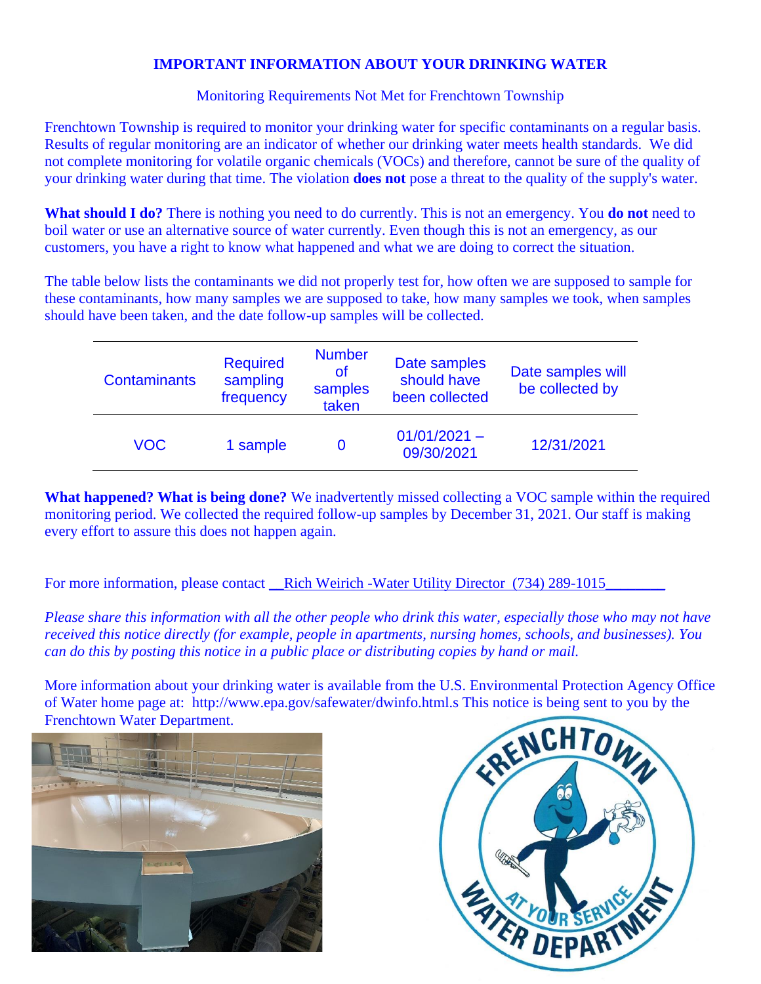#### **IMPORTANT INFORMATION ABOUT YOUR DRINKING WATER**

Monitoring Requirements Not Met for Frenchtown Township

Frenchtown Township is required to monitor your drinking water for specific contaminants on a regular basis. Results of regular monitoring are an indicator of whether our drinking water meets health standards. We did not complete monitoring for volatile organic chemicals (VOCs) and therefore, cannot be sure of the quality of your drinking water during that time. The violation **does not** pose a threat to the quality of the supply's water.

**What should I do?** There is nothing you need to do currently. This is not an emergency. You **do not** need to boil water or use an alternative source of water currently. Even though this is not an emergency, as our customers, you have a right to know what happened and what we are doing to correct the situation.

The table below lists the contaminants we did not properly test for, how often we are supposed to sample for these contaminants, how many samples we are supposed to take, how many samples we took, when samples should have been taken, and the date follow-up samples will be collected.

| <b>Contaminants</b> | <b>Required</b><br>sampling<br>frequency | <b>Number</b><br>οf<br>samples<br>taken | Date samples<br>should have<br>been collected | Date samples will<br>be collected by |
|---------------------|------------------------------------------|-----------------------------------------|-----------------------------------------------|--------------------------------------|
| <b>VOC</b>          | 1 sample                                 | O                                       | $01/01/2021 -$<br>09/30/2021                  | 12/31/2021                           |

**What happened? What is being done?** We inadvertently missed collecting a VOC sample within the required monitoring period. We collected the required follow-up samples by December 31, 2021. Our staff is making every effort to assure this does not happen again.

For more information, please contact <u>Rich Weirich -Water Utility Director</u> (734) 289-1015

*Please share this information with all the other people who drink this water, especially those who may not have received this notice directly (for example, people in apartments, nursing homes, schools, and businesses). You can do this by posting this notice in a public place or distributing copies by hand or mail.*

More information about your drinking water is available from the U.S. Environmental Protection Agency Office of Water home page at: http://www.epa.gov/safewater/dwinfo.html.s This notice is being sent to you by the Frenchtown Water Department.